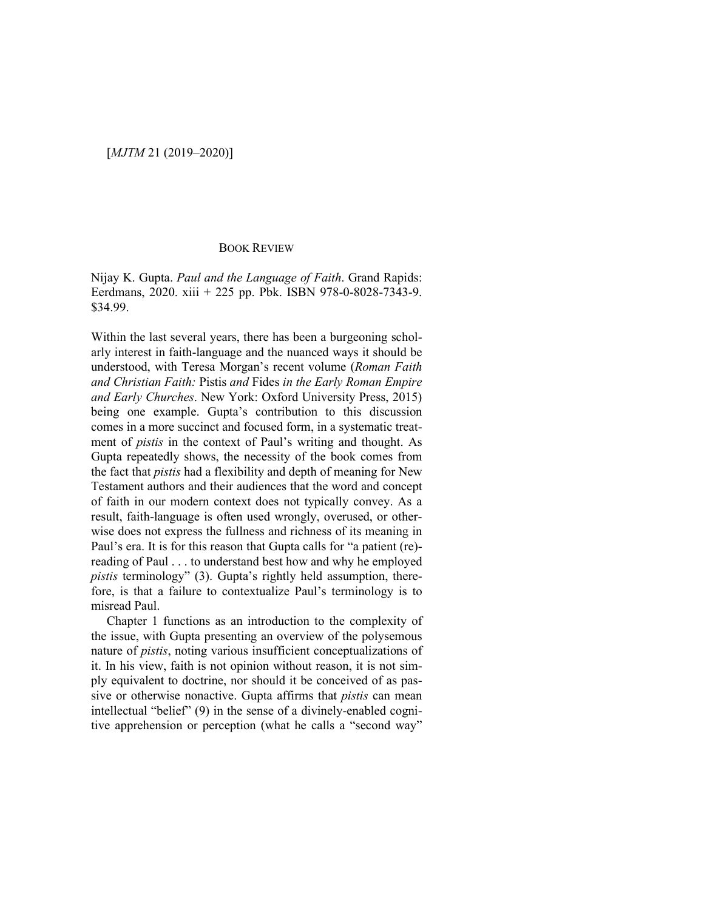## [*MJTM* 21 (2019–2020)]

## BOOK REVIEW

Nijay K. Gupta. *Paul and the Language of Faith*. Grand Rapids: Eerdmans, 2020. xiii + 225 pp. Pbk. ISBN 978-0-8028-7343-9. \$34.99.

Within the last several years, there has been a burgeoning scholarly interest in faith-language and the nuanced ways it should be understood, with Teresa Morgan's recent volume (*Roman Faith and Christian Faith:* Pistis *and* Fides *in the Early Roman Empire and Early Churches*. New York: Oxford University Press, 2015) being one example. Gupta's contribution to this discussion comes in a more succinct and focused form, in a systematic treatment of *pistis* in the context of Paul's writing and thought. As Gupta repeatedly shows, the necessity of the book comes from the fact that *pistis* had a flexibility and depth of meaning for New Testament authors and their audiences that the word and concept of faith in our modern context does not typically convey. As a result, faith-language is often used wrongly, overused, or otherwise does not express the fullness and richness of its meaning in Paul's era. It is for this reason that Gupta calls for "a patient (re) reading of Paul . . . to understand best how and why he employed *pistis* terminology" (3). Gupta's rightly held assumption, therefore, is that a failure to contextualize Paul's terminology is to misread Paul.

Chapter 1 functions as an introduction to the complexity of the issue, with Gupta presenting an overview of the polysemous nature of *pistis*, noting various insufficient conceptualizations of it. In his view, faith is not opinion without reason, it is not simply equivalent to doctrine, nor should it be conceived of as passive or otherwise nonactive. Gupta affirms that *pistis* can mean intellectual "belief" (9) in the sense of a divinely-enabled cognitive apprehension or perception (what he calls a "second way"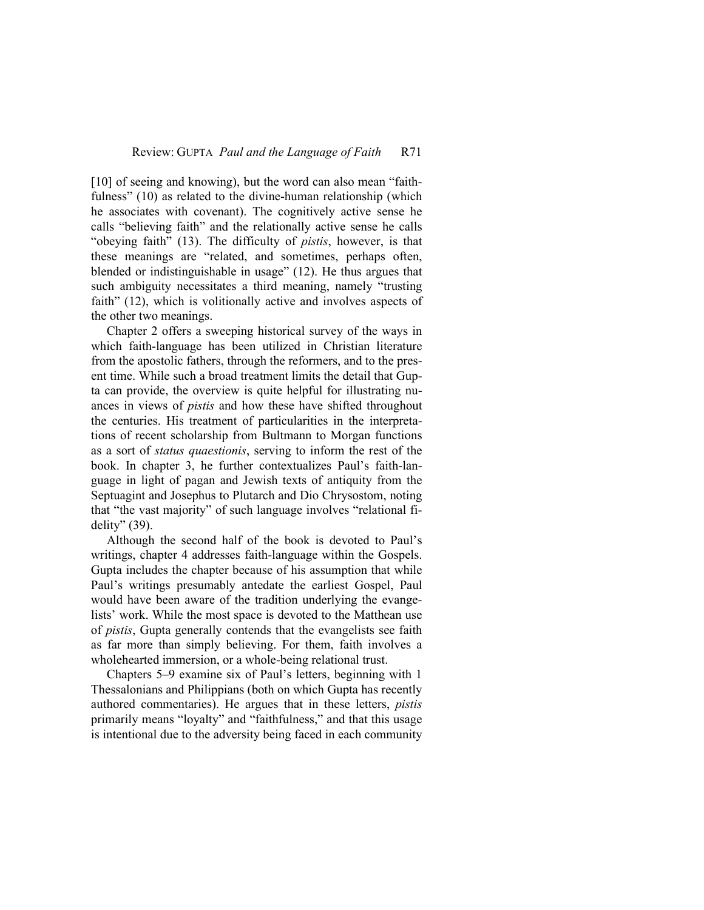[10] of seeing and knowing), but the word can also mean "faithfulness" (10) as related to the divine-human relationship (which he associates with covenant). The cognitively active sense he calls "believing faith" and the relationally active sense he calls "obeying faith" (13). The difficulty of *pistis*, however, is that these meanings are "related, and sometimes, perhaps often, blended or indistinguishable in usage" (12). He thus argues that such ambiguity necessitates a third meaning, namely "trusting faith" (12), which is volitionally active and involves aspects of the other two meanings.

Chapter 2 offers a sweeping historical survey of the ways in which faith-language has been utilized in Christian literature from the apostolic fathers, through the reformers, and to the present time. While such a broad treatment limits the detail that Gupta can provide, the overview is quite helpful for illustrating nuances in views of *pistis* and how these have shifted throughout the centuries. His treatment of particularities in the interpretations of recent scholarship from Bultmann to Morgan functions as a sort of *status quaestionis*, serving to inform the rest of the book. In chapter 3, he further contextualizes Paul's faith-language in light of pagan and Jewish texts of antiquity from the Septuagint and Josephus to Plutarch and Dio Chrysostom, noting that "the vast majority" of such language involves "relational fidelity" (39).

Although the second half of the book is devoted to Paul's writings, chapter 4 addresses faith-language within the Gospels. Gupta includes the chapter because of his assumption that while Paul's writings presumably antedate the earliest Gospel, Paul would have been aware of the tradition underlying the evangelists' work. While the most space is devoted to the Matthean use of *pistis*, Gupta generally contends that the evangelists see faith as far more than simply believing. For them, faith involves a wholehearted immersion, or a whole-being relational trust.

Chapters 5–9 examine six of Paul's letters, beginning with 1 Thessalonians and Philippians (both on which Gupta has recently authored commentaries). He argues that in these letters, *pistis* primarily means "loyalty" and "faithfulness," and that this usage is intentional due to the adversity being faced in each community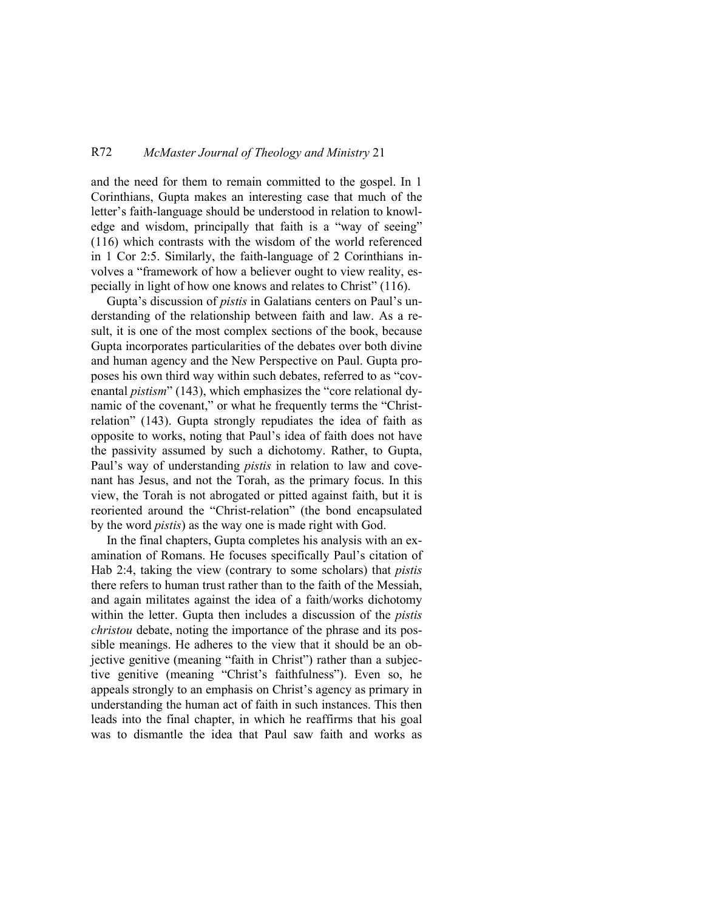## R72 *McMaster Journal of Theology and Ministry* 21

and the need for them to remain committed to the gospel. In 1 Corinthians, Gupta makes an interesting case that much of the letter's faith-language should be understood in relation to knowledge and wisdom, principally that faith is a "way of seeing" (116) which contrasts with the wisdom of the world referenced in 1 Cor 2:5. Similarly, the faith-language of 2 Corinthians involves a "framework of how a believer ought to view reality, especially in light of how one knows and relates to Christ" (116).

Gupta's discussion of *pistis* in Galatians centers on Paul's understanding of the relationship between faith and law. As a result, it is one of the most complex sections of the book, because Gupta incorporates particularities of the debates over both divine and human agency and the New Perspective on Paul. Gupta proposes his own third way within such debates, referred to as "covenantal *pistism*" (143), which emphasizes the "core relational dynamic of the covenant," or what he frequently terms the "Christrelation" (143). Gupta strongly repudiates the idea of faith as opposite to works, noting that Paul's idea of faith does not have the passivity assumed by such a dichotomy. Rather, to Gupta, Paul's way of understanding *pistis* in relation to law and covenant has Jesus, and not the Torah, as the primary focus. In this view, the Torah is not abrogated or pitted against faith, but it is reoriented around the "Christ-relation" (the bond encapsulated by the word *pistis*) as the way one is made right with God.

In the final chapters, Gupta completes his analysis with an examination of Romans. He focuses specifically Paul's citation of Hab 2:4, taking the view (contrary to some scholars) that *pistis* there refers to human trust rather than to the faith of the Messiah, and again militates against the idea of a faith/works dichotomy within the letter. Gupta then includes a discussion of the *pistis christou* debate, noting the importance of the phrase and its possible meanings. He adheres to the view that it should be an objective genitive (meaning "faith in Christ") rather than a subjective genitive (meaning "Christ's faithfulness"). Even so, he appeals strongly to an emphasis on Christ's agency as primary in understanding the human act of faith in such instances. This then leads into the final chapter, in which he reaffirms that his goal was to dismantle the idea that Paul saw faith and works as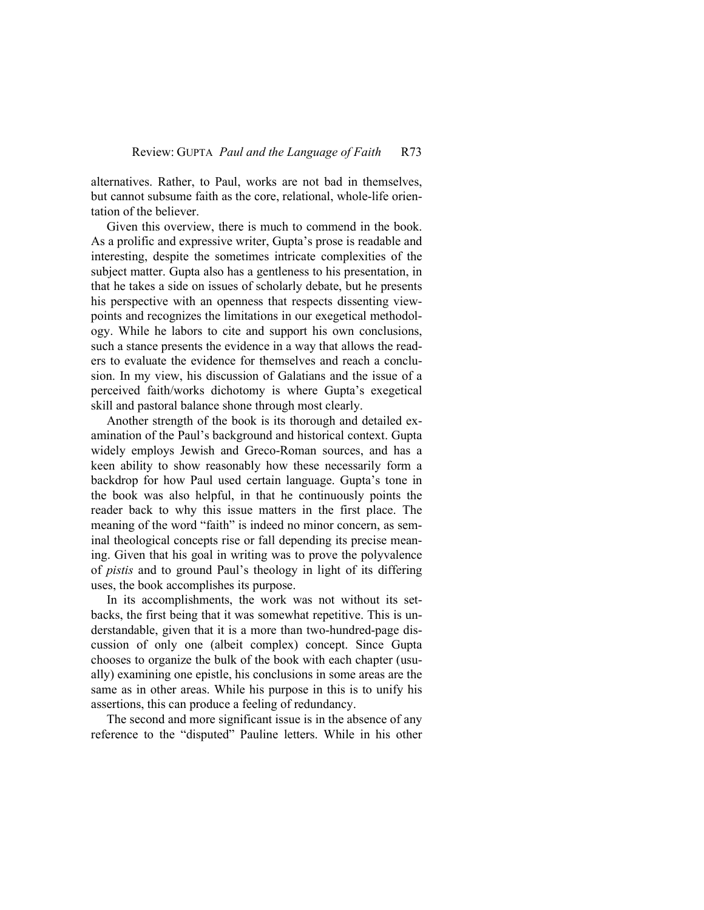alternatives. Rather, to Paul, works are not bad in themselves, but cannot subsume faith as the core, relational, whole-life orientation of the believer.

Given this overview, there is much to commend in the book. As a prolific and expressive writer, Gupta's prose is readable and interesting, despite the sometimes intricate complexities of the subject matter. Gupta also has a gentleness to his presentation, in that he takes a side on issues of scholarly debate, but he presents his perspective with an openness that respects dissenting viewpoints and recognizes the limitations in our exegetical methodology. While he labors to cite and support his own conclusions, such a stance presents the evidence in a way that allows the readers to evaluate the evidence for themselves and reach a conclusion. In my view, his discussion of Galatians and the issue of a perceived faith/works dichotomy is where Gupta's exegetical skill and pastoral balance shone through most clearly.

Another strength of the book is its thorough and detailed examination of the Paul's background and historical context. Gupta widely employs Jewish and Greco-Roman sources, and has a keen ability to show reasonably how these necessarily form a backdrop for how Paul used certain language. Gupta's tone in the book was also helpful, in that he continuously points the reader back to why this issue matters in the first place. The meaning of the word "faith" is indeed no minor concern, as seminal theological concepts rise or fall depending its precise meaning. Given that his goal in writing was to prove the polyvalence of *pistis* and to ground Paul's theology in light of its differing uses, the book accomplishes its purpose.

In its accomplishments, the work was not without its setbacks, the first being that it was somewhat repetitive. This is understandable, given that it is a more than two-hundred-page discussion of only one (albeit complex) concept. Since Gupta chooses to organize the bulk of the book with each chapter (usually) examining one epistle, his conclusions in some areas are the same as in other areas. While his purpose in this is to unify his assertions, this can produce a feeling of redundancy.

The second and more significant issue is in the absence of any reference to the "disputed" Pauline letters. While in his other